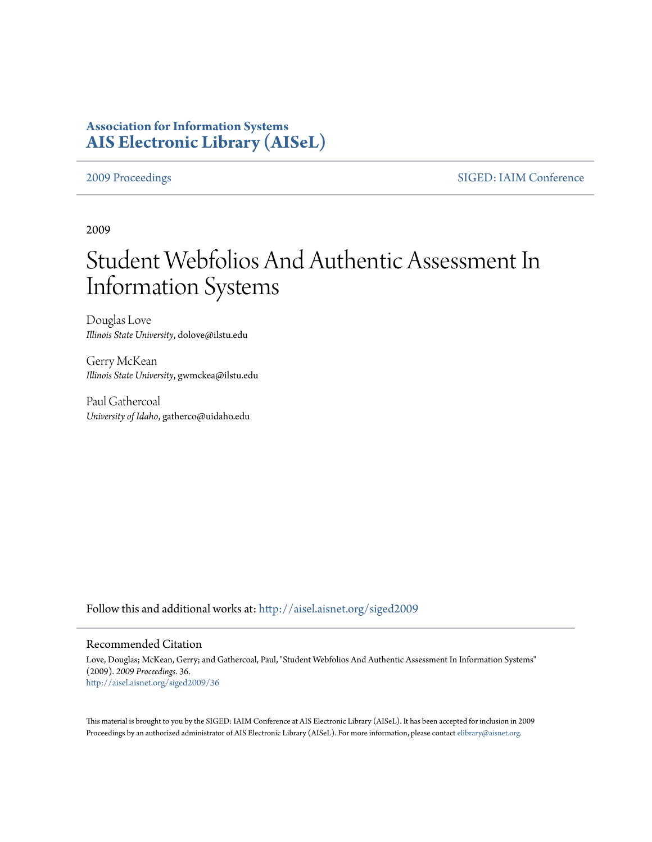# **Association for Information Systems [AIS Electronic Library \(AISeL\)](http://aisel.aisnet.org?utm_source=aisel.aisnet.org%2Fsiged2009%2F36&utm_medium=PDF&utm_campaign=PDFCoverPages)**

[2009 Proceedings](http://aisel.aisnet.org/siged2009?utm_source=aisel.aisnet.org%2Fsiged2009%2F36&utm_medium=PDF&utm_campaign=PDFCoverPages) [SIGED: IAIM Conference](http://aisel.aisnet.org/siged?utm_source=aisel.aisnet.org%2Fsiged2009%2F36&utm_medium=PDF&utm_campaign=PDFCoverPages)

2009

# Student Webfolios And Authentic Assessment In Information Systems

Douglas Love *Illinois State University*, dolove@ilstu.edu

Gerry McKean *Illinois State University*, gwmckea@ilstu.edu

Paul Gathercoal *University of Idaho*, gatherco@uidaho.edu

Follow this and additional works at: [http://aisel.aisnet.org/siged2009](http://aisel.aisnet.org/siged2009?utm_source=aisel.aisnet.org%2Fsiged2009%2F36&utm_medium=PDF&utm_campaign=PDFCoverPages)

#### Recommended Citation

Love, Douglas; McKean, Gerry; and Gathercoal, Paul, "Student Webfolios And Authentic Assessment In Information Systems" (2009). *2009 Proceedings*. 36. [http://aisel.aisnet.org/siged2009/36](http://aisel.aisnet.org/siged2009/36?utm_source=aisel.aisnet.org%2Fsiged2009%2F36&utm_medium=PDF&utm_campaign=PDFCoverPages)

This material is brought to you by the SIGED: IAIM Conference at AIS Electronic Library (AISeL). It has been accepted for inclusion in 2009 Proceedings by an authorized administrator of AIS Electronic Library (AISeL). For more information, please contact [elibrary@aisnet.org](mailto:elibrary@aisnet.org%3E).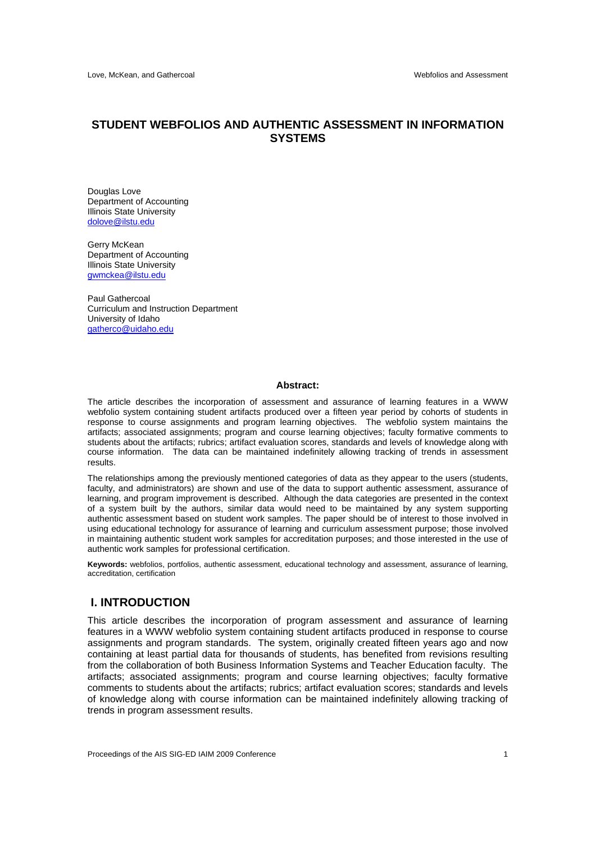### **STUDENT WEBFOLIOS AND AUTHENTIC ASSESSMENT IN INFORMATION SYSTEMS**

Douglas Love Department of Accounting Illinois State University dolove@ilstu.edu

Gerry McKean Department of Accounting Illinois State University gwmckea@ilstu.edu

Paul Gathercoal Curriculum and Instruction Department University of Idaho gatherco@uidaho.edu

#### **Abstract:**

The article describes the incorporation of assessment and assurance of learning features in a WWW webfolio system containing student artifacts produced over a fifteen year period by cohorts of students in response to course assignments and program learning objectives. The webfolio system maintains the artifacts; associated assignments; program and course learning objectives; faculty formative comments to students about the artifacts; rubrics; artifact evaluation scores, standards and levels of knowledge along with course information. The data can be maintained indefinitely allowing tracking of trends in assessment results.

The relationships among the previously mentioned categories of data as they appear to the users (students, faculty, and administrators) are shown and use of the data to support authentic assessment, assurance of learning, and program improvement is described. Although the data categories are presented in the context of a system built by the authors, similar data would need to be maintained by any system supporting authentic assessment based on student work samples. The paper should be of interest to those involved in using educational technology for assurance of learning and curriculum assessment purpose; those involved in maintaining authentic student work samples for accreditation purposes; and those interested in the use of authentic work samples for professional certification.

**Keywords:** webfolios, portfolios, authentic assessment, educational technology and assessment, assurance of learning, accreditation, certification

#### **I. INTRODUCTION**

This article describes the incorporation of program assessment and assurance of learning features in a WWW webfolio system containing student artifacts produced in response to course assignments and program standards. The system, originally created fifteen years ago and now containing at least partial data for thousands of students, has benefited from revisions resulting from the collaboration of both Business Information Systems and Teacher Education faculty. The artifacts; associated assignments; program and course learning objectives; faculty formative comments to students about the artifacts; rubrics; artifact evaluation scores; standards and levels of knowledge along with course information can be maintained indefinitely allowing tracking of trends in program assessment results.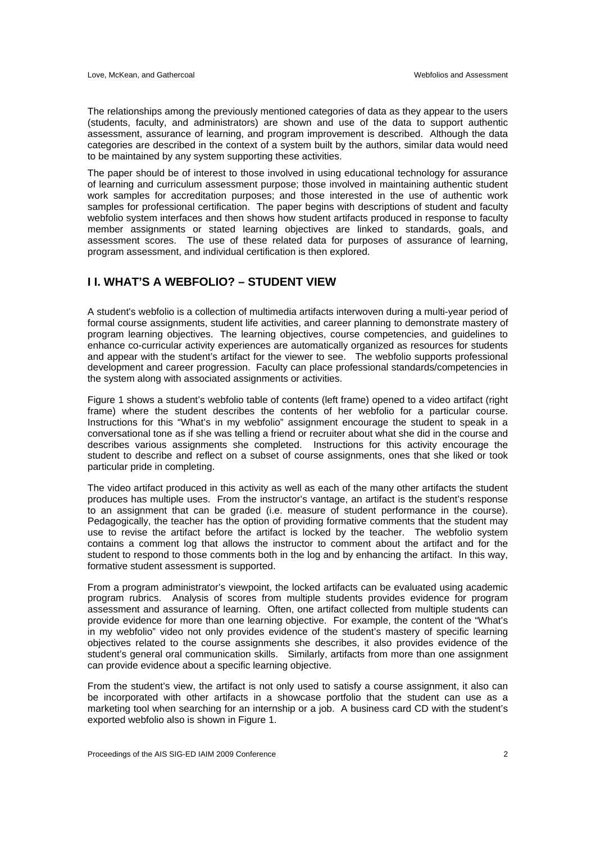The relationships among the previously mentioned categories of data as they appear to the users (students, faculty, and administrators) are shown and use of the data to support authentic assessment, assurance of learning, and program improvement is described. Although the data categories are described in the context of a system built by the authors, similar data would need to be maintained by any system supporting these activities.

The paper should be of interest to those involved in using educational technology for assurance of learning and curriculum assessment purpose; those involved in maintaining authentic student work samples for accreditation purposes; and those interested in the use of authentic work samples for professional certification. The paper begins with descriptions of student and faculty webfolio system interfaces and then shows how student artifacts produced in response to faculty member assignments or stated learning objectives are linked to standards, goals, and assessment scores. The use of these related data for purposes of assurance of learning, program assessment, and individual certification is then explored.

## **I I. WHAT'S A WEBFOLIO? – STUDENT VIEW**

A student's webfolio is a collection of multimedia artifacts interwoven during a multi-year period of formal course assignments, student life activities, and career planning to demonstrate mastery of program learning objectives. The learning objectives, course competencies, and guidelines to enhance co-curricular activity experiences are automatically organized as resources for students and appear with the student's artifact for the viewer to see. The webfolio supports professional development and career progression. Faculty can place professional standards/competencies in the system along with associated assignments or activities.

Figure 1 shows a student's webfolio table of contents (left frame) opened to a video artifact (right frame) where the student describes the contents of her webfolio for a particular course. Instructions for this "What's in my webfolio" assignment encourage the student to speak in a conversational tone as if she was telling a friend or recruiter about what she did in the course and describes various assignments she completed. Instructions for this activity encourage the student to describe and reflect on a subset of course assignments, ones that she liked or took particular pride in completing.

The video artifact produced in this activity as well as each of the many other artifacts the student produces has multiple uses. From the instructor's vantage, an artifact is the student's response to an assignment that can be graded (i.e. measure of student performance in the course). Pedagogically, the teacher has the option of providing formative comments that the student may use to revise the artifact before the artifact is locked by the teacher. The webfolio system contains a comment log that allows the instructor to comment about the artifact and for the student to respond to those comments both in the log and by enhancing the artifact. In this way, formative student assessment is supported.

From a program administrator's viewpoint, the locked artifacts can be evaluated using academic program rubrics. Analysis of scores from multiple students provides evidence for program assessment and assurance of learning. Often, one artifact collected from multiple students can provide evidence for more than one learning objective. For example, the content of the "What's in my webfolio" video not only provides evidence of the student's mastery of specific learning objectives related to the course assignments she describes, it also provides evidence of the student's general oral communication skills. Similarly, artifacts from more than one assignment can provide evidence about a specific learning objective.

From the student's view, the artifact is not only used to satisfy a course assignment, it also can be incorporated with other artifacts in a showcase portfolio that the student can use as a marketing tool when searching for an internship or a job. A business card CD with the student's exported webfolio also is shown in Figure 1.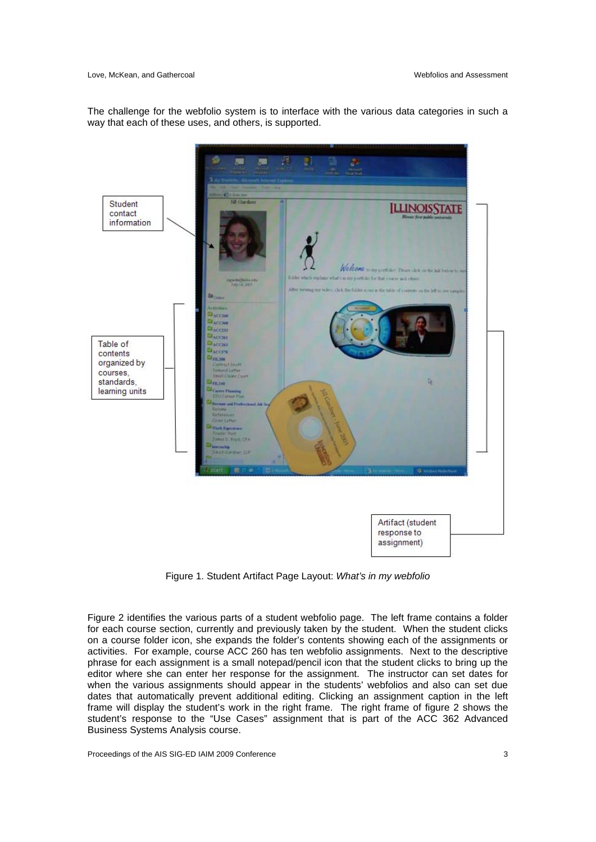#### Love, McKean, and Gathercoal Webfolios and Assessment

The challenge for the webfolio system is to interface with the various data categories in such a way that each of these uses, and others, is supported.



Figure 1. Student Artifact Page Layout: *What's in my webfolio* 

Figure 2 identifies the various parts of a student webfolio page. The left frame contains a folder for each course section, currently and previously taken by the student. When the student clicks on a course folder icon, she expands the folder's contents showing each of the assignments or activities. For example, course ACC 260 has ten webfolio assignments. Next to the descriptive phrase for each assignment is a small notepad/pencil icon that the student clicks to bring up the editor where she can enter her response for the assignment. The instructor can set dates for when the various assignments should appear in the students' webfolios and also can set due dates that automatically prevent additional editing. Clicking an assignment caption in the left frame will display the student's work in the right frame. The right frame of figure 2 shows the student's response to the "Use Cases" assignment that is part of the ACC 362 Advanced Business Systems Analysis course.

Proceedings of the AIS SIG-ED IAIM 2009 Conference 3 3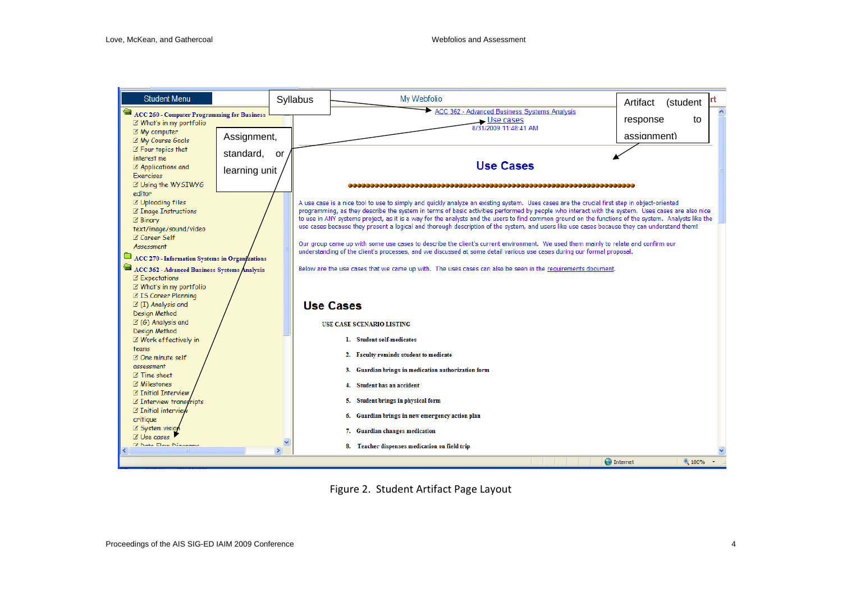

Figure 2. Student Artifact Page Layout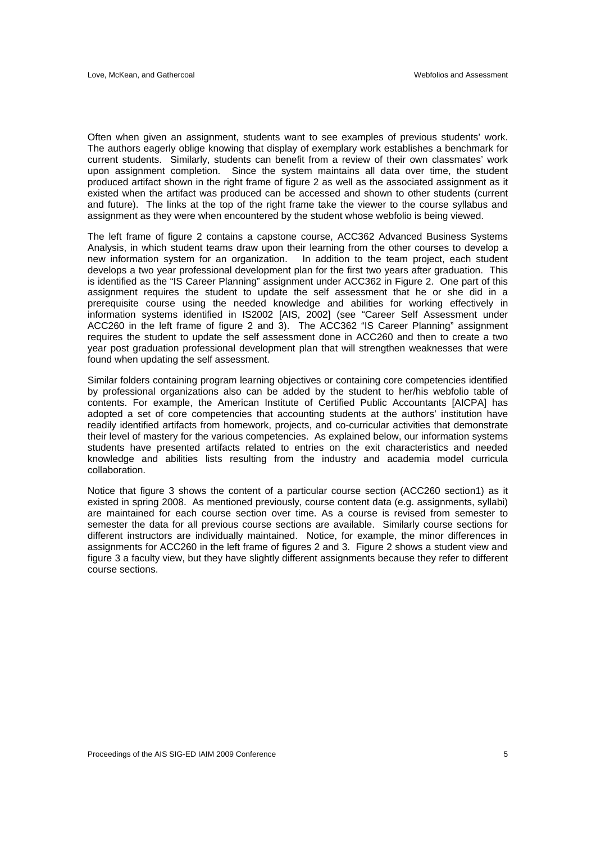Often when given an assignment, students want to see examples of previous students' work. The authors eagerly oblige knowing that display of exemplary work establishes a benchmark for current students. Similarly, students can benefit from a review of their own classmates' work upon assignment completion. Since the system maintains all data over time, the student produced artifact shown in the right frame of figure 2 as well as the associated assignment as it existed when the artifact was produced can be accessed and shown to other students (current and future). The links at the top of the right frame take the viewer to the course syllabus and assignment as they were when encountered by the student whose webfolio is being viewed.

The left frame of figure 2 contains a capstone course, ACC362 Advanced Business Systems Analysis, in which student teams draw upon their learning from the other courses to develop a new information system for an organization. In addition to the team project, each student develops a two year professional development plan for the first two years after graduation. This is identified as the "IS Career Planning" assignment under ACC362 in Figure 2. One part of this assignment requires the student to update the self assessment that he or she did in a prerequisite course using the needed knowledge and abilities for working effectively in information systems identified in IS2002 [AIS, 2002] (see "Career Self Assessment under ACC260 in the left frame of figure 2 and 3). The ACC362 "IS Career Planning" assignment requires the student to update the self assessment done in ACC260 and then to create a two year post graduation professional development plan that will strengthen weaknesses that were found when updating the self assessment.

Similar folders containing program learning objectives or containing core competencies identified by professional organizations also can be added by the student to her/his webfolio table of contents. For example, the American Institute of Certified Public Accountants [AICPA] has adopted a set of core competencies that accounting students at the authors' institution have readily identified artifacts from homework, projects, and co-curricular activities that demonstrate their level of mastery for the various competencies. As explained below, our information systems students have presented artifacts related to entries on the exit characteristics and needed knowledge and abilities lists resulting from the industry and academia model curricula collaboration.

Notice that figure 3 shows the content of a particular course section (ACC260 section1) as it existed in spring 2008. As mentioned previously, course content data (e.g. assignments, syllabi) are maintained for each course section over time. As a course is revised from semester to semester the data for all previous course sections are available. Similarly course sections for different instructors are individually maintained. Notice, for example, the minor differences in assignments for ACC260 in the left frame of figures 2 and 3. Figure 2 shows a student view and figure 3 a faculty view, but they have slightly different assignments because they refer to different course sections.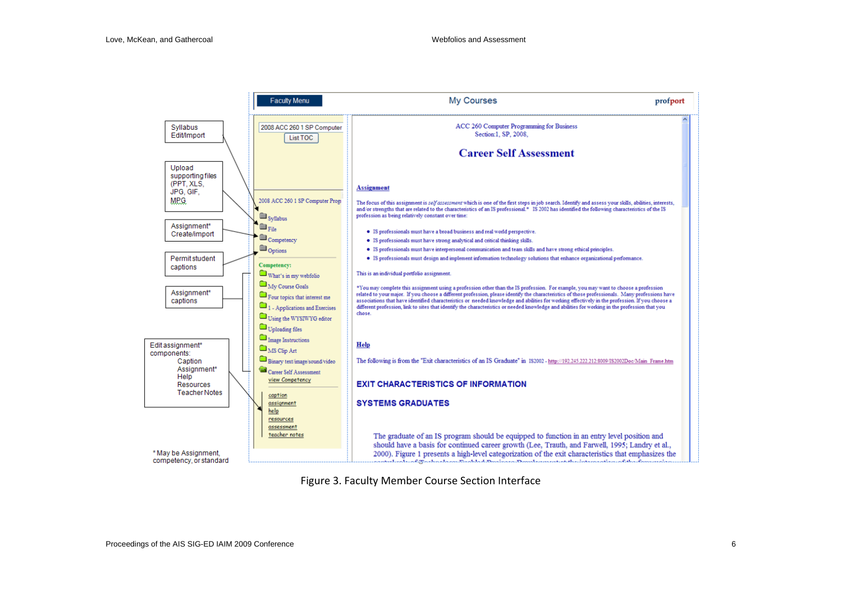

Figure 3. Faculty Member Course Section Interface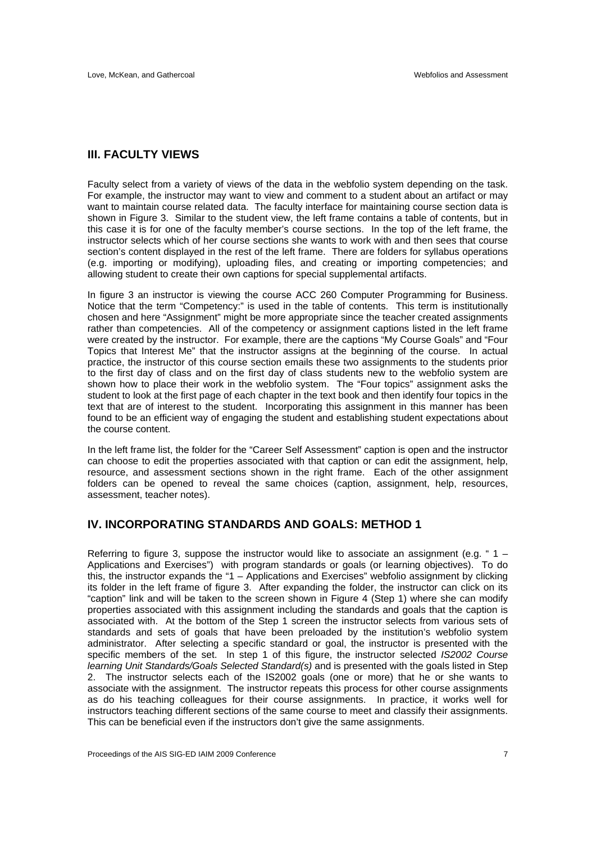### **III. FACULTY VIEWS**

Faculty select from a variety of views of the data in the webfolio system depending on the task. For example, the instructor may want to view and comment to a student about an artifact or may want to maintain course related data. The faculty interface for maintaining course section data is shown in Figure 3. Similar to the student view, the left frame contains a table of contents, but in this case it is for one of the faculty member's course sections. In the top of the left frame, the instructor selects which of her course sections she wants to work with and then sees that course section's content displayed in the rest of the left frame. There are folders for syllabus operations (e.g. importing or modifying), uploading files, and creating or importing competencies; and allowing student to create their own captions for special supplemental artifacts.

In figure 3 an instructor is viewing the course ACC 260 Computer Programming for Business. Notice that the term "Competency:" is used in the table of contents. This term is institutionally chosen and here "Assignment" might be more appropriate since the teacher created assignments rather than competencies. All of the competency or assignment captions listed in the left frame were created by the instructor. For example, there are the captions "My Course Goals" and "Four Topics that Interest Me" that the instructor assigns at the beginning of the course. In actual practice, the instructor of this course section emails these two assignments to the students prior to the first day of class and on the first day of class students new to the webfolio system are shown how to place their work in the webfolio system. The "Four topics" assignment asks the student to look at the first page of each chapter in the text book and then identify four topics in the text that are of interest to the student. Incorporating this assignment in this manner has been found to be an efficient way of engaging the student and establishing student expectations about the course content.

In the left frame list, the folder for the "Career Self Assessment" caption is open and the instructor can choose to edit the properties associated with that caption or can edit the assignment, help, resource, and assessment sections shown in the right frame. Each of the other assignment folders can be opened to reveal the same choices (caption, assignment, help, resources, assessment, teacher notes).

#### **IV. INCORPORATING STANDARDS AND GOALS: METHOD 1**

Referring to figure 3, suppose the instructor would like to associate an assignment (e.g.  $4 -$ Applications and Exercises") with program standards or goals (or learning objectives). To do this, the instructor expands the "1 – Applications and Exercises" webfolio assignment by clicking its folder in the left frame of figure 3. After expanding the folder, the instructor can click on its "caption" link and will be taken to the screen shown in Figure 4 (Step 1) where she can modify properties associated with this assignment including the standards and goals that the caption is associated with. At the bottom of the Step 1 screen the instructor selects from various sets of standards and sets of goals that have been preloaded by the institution's webfolio system administrator. After selecting a specific standard or goal, the instructor is presented with the specific members of the set. In step 1 of this figure, the instructor selected *IS2002 Course learning Unit Standards/Goals Selected Standard(s)* and is presented with the goals listed in Step 2. The instructor selects each of the IS2002 goals (one or more) that he or she wants to associate with the assignment. The instructor repeats this process for other course assignments as do his teaching colleagues for their course assignments. In practice, it works well for instructors teaching different sections of the same course to meet and classify their assignments. This can be beneficial even if the instructors don't give the same assignments.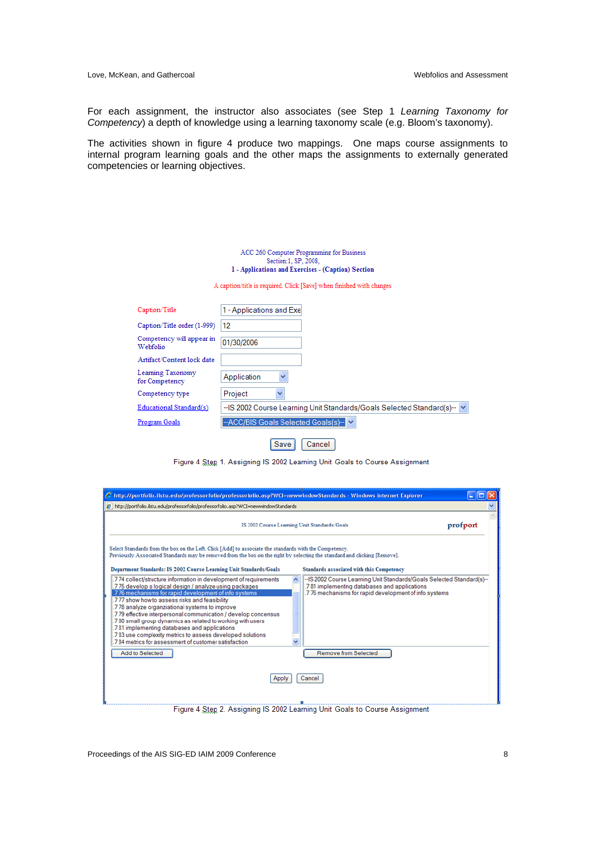Love, McKean, and Gathercoal Webfolios and Assessment

For each assignment, the instructor also associates (see Step 1 *Learning Taxonomy for Competency*) a depth of knowledge using a learning taxonomy scale (e.g. Bloom's taxonomy).

The activities shown in figure 4 produce two mappings. One maps course assignments to internal program learning goals and the other maps the assignments to externally generated competencies or learning objectives.

| ACC 260 Computer Programming for Business          |
|----------------------------------------------------|
| Section:1, SP, 2008.                               |
| 1 - Applications and Exercises - (Caption) Section |

A caption/title is required. Click [Save] when finished with changes

| Caption/Title                         | 1 - Applications and Exel                                               |
|---------------------------------------|-------------------------------------------------------------------------|
| Caption/Title order (1-999)           | 12                                                                      |
| Competency will appear in<br>Webfolio | 01/30/2006                                                              |
| Artifact/Content lock date            |                                                                         |
| Learning Taxonomy<br>for Competency   | Application<br>v                                                        |
| Competency type                       | Project<br>v                                                            |
| Educational Standard(s)               | -- IS 2002 Course Learning Unit Standards/Goals Selected Standard(s)- V |
| Program Goals                         | -- ACC/BIS Goals Selected Goals(s)-                                     |
|                                       | Save<br>Cancel                                                          |

Figure 4 Step 1. Assigning IS 2002 Learning Unit Goals to Course Assignment

| C http://portfolio.ilstu.edu/professorfolio/professorfolio.asp?WCI=newwindowStandards - Windows Internet Explorer                                                                                                                                                                                                                                                                                                                                                                                                                                                                                   |                                                                                                                                                                                 |          |
|-----------------------------------------------------------------------------------------------------------------------------------------------------------------------------------------------------------------------------------------------------------------------------------------------------------------------------------------------------------------------------------------------------------------------------------------------------------------------------------------------------------------------------------------------------------------------------------------------------|---------------------------------------------------------------------------------------------------------------------------------------------------------------------------------|----------|
| 2 http://portfolio.ilstu.edu/professorfolio/professorfolio.asp?WCI=newwindowStandards                                                                                                                                                                                                                                                                                                                                                                                                                                                                                                               |                                                                                                                                                                                 |          |
|                                                                                                                                                                                                                                                                                                                                                                                                                                                                                                                                                                                                     | IS 2002 Course Learning Unit Standards/Goals                                                                                                                                    | profport |
| Select Standards from the box on the Left. Click [Add] to associate the standards with the Competency.<br>Previously Associated Standards may be removed from the box on the right by selecting the standard and clicking [Remove].<br>Department Standards: IS 2002 Course Learning Unit Standards/Goals                                                                                                                                                                                                                                                                                           | Standards associated with this Competency                                                                                                                                       |          |
| .7 74 collect/structure information in development of requirements<br>.7 75 develop a logical design / analyze using packages<br>.7 76 mechanisms for rapid development of info systems<br>777 show how to assess risks and feasibility<br>.7 78 analyze organziational systems to improve<br>.7 79 effective interpersonal communication / develop concensus<br>.7 80 small group dynamics as related to working with users<br>.781 implementing databases and applications<br>.7 83 use complexity metrics to assess developed solutions<br>.7 84 metrics for assessment of customer satisfaction | --IS 2002 Course Learning Unit Standards/Goals Selected Standard(s)--<br>.781 implementing databases and applications<br>.7 76 mechanisms for rapid development of info systems |          |
| <b>Add to Selected</b>                                                                                                                                                                                                                                                                                                                                                                                                                                                                                                                                                                              | <b>Remove from Selected</b>                                                                                                                                                     |          |
| Apply                                                                                                                                                                                                                                                                                                                                                                                                                                                                                                                                                                                               | Cancel                                                                                                                                                                          |          |
|                                                                                                                                                                                                                                                                                                                                                                                                                                                                                                                                                                                                     | Figure 4 Step 2. Assigning IS 2002 Learning Unit Goals to Course Assignment                                                                                                     |          |

Proceedings of the AIS SIG-ED IAIM 2009 Conference 8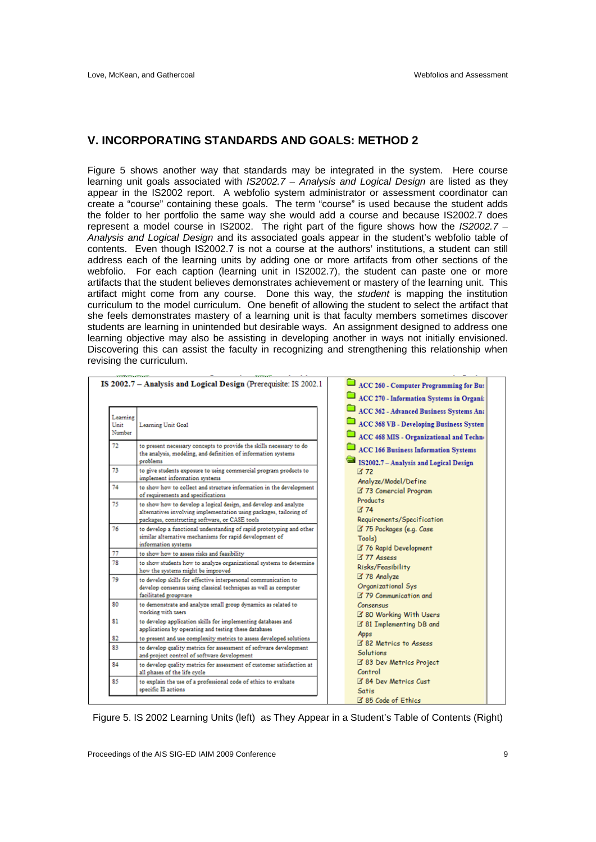### **V. INCORPORATING STANDARDS AND GOALS: METHOD 2**

Figure 5 shows another way that standards may be integrated in the system. Here course learning unit goals associated with *IS2002.7 – Analysis and Logical Design* are listed as they appear in the IS2002 report. A webfolio system administrator or assessment coordinator can create a "course" containing these goals. The term "course" is used because the student adds the folder to her portfolio the same way she would add a course and because IS2002.7 does represent a model course in IS2002. The right part of the figure shows how the *IS2002.7 – Analysis and Logical Design* and its associated goals appear in the student's webfolio table of contents. Even though IS2002.7 is not a course at the authors' institutions, a student can still address each of the learning units by adding one or more artifacts from other sections of the webfolio. For each caption (learning unit in IS2002.7), the student can paste one or more artifacts that the student believes demonstrates achievement or mastery of the learning unit. This artifact might come from any course. Done this way, the *student* is mapping the institution curriculum to the model curriculum. One benefit of allowing the student to select the artifact that she feels demonstrates mastery of a learning unit is that faculty members sometimes discover students are learning in unintended but desirable ways. An assignment designed to address one learning objective may also be assisting in developing another in ways not initially envisioned. Discovering this can assist the faculty in recognizing and strengthening this relationship when revising the curriculum.

|                            | IS 2002.7 - Analysis and Logical Design (Prerequisite: IS 2002.1                                                                                                                         |  | ACC 260 - Computer Programming for Bus<br>ACC 270 - Information Systems in Organi:                                            |
|----------------------------|------------------------------------------------------------------------------------------------------------------------------------------------------------------------------------------|--|-------------------------------------------------------------------------------------------------------------------------------|
| Learning<br>Unit<br>Number | Learning Unit Goal                                                                                                                                                                       |  | ACC 362 - Advanced Business Systems An:<br>ACC 368 VB - Developing Business System<br>ACC 468 MIS - Organizational and Techno |
| 72                         | to present necessary concepts to provide the skills necessary to do<br>the analysis, modeling, and definition of information systems<br>problems                                         |  | ACC 166 Business Information Systems<br>IS2002.7 - Analysis and Logical Design                                                |
| 73                         | to give students exposure to using commercial program products to<br>implement information systems                                                                                       |  | $Z$ 72<br>Analyze/Model/Define                                                                                                |
| 74                         | to show how to collect and structure information in the development<br>of requirements and specifications                                                                                |  | 373 Comercial Program<br><b>Products</b>                                                                                      |
| 75                         | to show how to develop a logical design, and develop and analyze<br>alternatives involving implementation using packages, tailoring of<br>packages, constructing software, or CASE tools |  | 74<br>Requirements/Specification                                                                                              |
| 76                         | to develop a functional understanding of rapid prototyping and other<br>similar alternative mechanisms for rapid development of<br>information systems                                   |  | 375 Packages (e.g. Case<br>Tools)                                                                                             |
| 77                         | to show how to assess risks and feasibility                                                                                                                                              |  | 376 Rapid Development<br>$Z$ 77 Assess                                                                                        |
| 78                         | to show students how to analyze organizational systems to determine<br>how the systems might be improved                                                                                 |  | Risks/Feasibility                                                                                                             |
| 79                         | to develop skills for effective interpersonal communication to<br>develop consensus using classical techniques as well as computer<br>facilitated groupware                              |  | 378 Analyze<br>Organizational Sys<br><b>Z</b> 79 Communication and                                                            |
| 80                         | to demonstrate and analyze small group dynamics as related to<br>working with users                                                                                                      |  | <b>Consensus</b><br>80 Working With Users                                                                                     |
| 81                         | to develop application skills for implementing databases and<br>applications by operating and testing these databases                                                                    |  | 381 Implementing DB and<br>Apps                                                                                               |
| 82                         | to present and use complexity metrics to assess developed solutions                                                                                                                      |  | 82 Metrics to Assess                                                                                                          |
| 83                         | to develop quality metrics for assessment of software development<br>and project control of software development                                                                         |  | <b>Solutions</b>                                                                                                              |
| 84                         | to develop quality metrics for assessment of customer satisfaction at<br>all phases of the life cycle                                                                                    |  | 383 Dev Metrics Project<br>Control                                                                                            |
| 85                         | to explain the use of a professional code of ethics to evaluate<br>specific IS actions                                                                                                   |  | 84 Dev Metrics Cust<br><b>Satis</b>                                                                                           |
|                            |                                                                                                                                                                                          |  | <b>EX OF CALL AT FALLS</b>                                                                                                    |

Figure 5. IS 2002 Learning Units (left) as They Appear in a Student's Table of Contents (Right)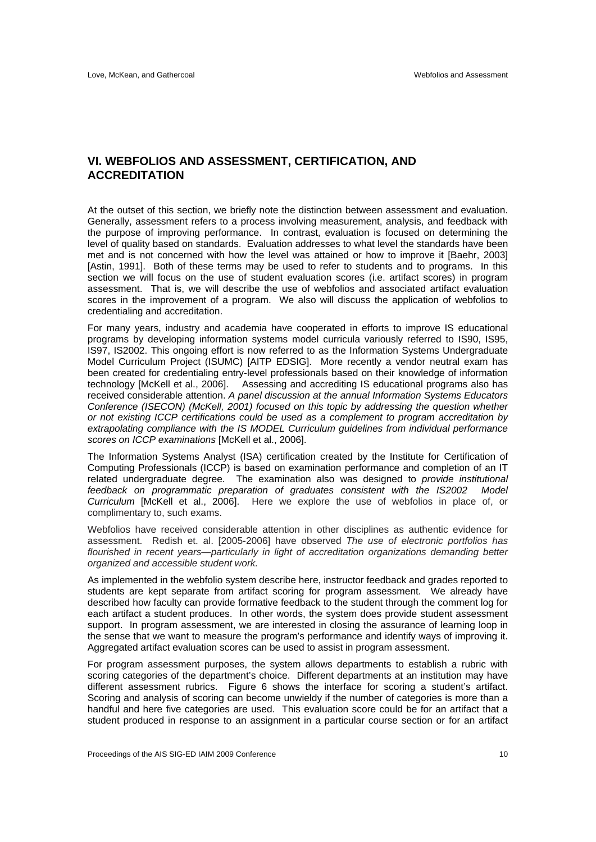### **VI. WEBFOLIOS AND ASSESSMENT, CERTIFICATION, AND ACCREDITATION**

At the outset of this section, we briefly note the distinction between assessment and evaluation. Generally, assessment refers to a process involving measurement, analysis, and feedback with the purpose of improving performance. In contrast, evaluation is focused on determining the level of quality based on standards. Evaluation addresses to what level the standards have been met and is not concerned with how the level was attained or how to improve it [Baehr, 2003] [Astin, 1991]. Both of these terms may be used to refer to students and to programs. In this section we will focus on the use of student evaluation scores (i.e. artifact scores) in program assessment. That is, we will describe the use of webfolios and associated artifact evaluation scores in the improvement of a program. We also will discuss the application of webfolios to credentialing and accreditation.

For many years, industry and academia have cooperated in efforts to improve IS educational programs by developing information systems model curricula variously referred to IS90, IS95, IS97, IS2002. This ongoing effort is now referred to as the Information Systems Undergraduate Model Curriculum Project (ISUMC) [AITP EDSIG]. More recently a vendor neutral exam has been created for credentialing entry-level professionals based on their knowledge of information technology [McKell et al., 2006]. Assessing and accrediting IS educational programs also has received considerable attention. *A panel discussion at the annual Information Systems Educators Conference (ISECON) (McKell, 2001) focused on this topic by addressing the question whether or not existing ICCP certifications could be used as a complement to program accreditation by extrapolating compliance with the IS MODEL Curriculum guidelines from individual performance scores on ICCP examinations* [McKell et al., 2006].

The Information Systems Analyst (ISA) certification created by the Institute for Certification of Computing Professionals (ICCP) is based on examination performance and completion of an IT related undergraduate degree. The examination also was designed to *provide institutional feedback on programmatic preparation of graduates consistent with the IS2002 Model Curriculum* [McKell et al., 2006]. Here we explore the use of webfolios in place of, or complimentary to, such exams.

Webfolios have received considerable attention in other disciplines as authentic evidence for assessment. Redish et. al. [2005-2006] have observed *The use of electronic portfolios has flourished in recent years—particularly in light of accreditation organizations demanding better organized and accessible student work.*

As implemented in the webfolio system describe here, instructor feedback and grades reported to students are kept separate from artifact scoring for program assessment. We already have described how faculty can provide formative feedback to the student through the comment log for each artifact a student produces. In other words, the system does provide student assessment support. In program assessment, we are interested in closing the assurance of learning loop in the sense that we want to measure the program's performance and identify ways of improving it. Aggregated artifact evaluation scores can be used to assist in program assessment.

For program assessment purposes, the system allows departments to establish a rubric with scoring categories of the department's choice. Different departments at an institution may have different assessment rubrics. Figure 6 shows the interface for scoring a student's artifact. Scoring and analysis of scoring can become unwieldy if the number of categories is more than a handful and here five categories are used. This evaluation score could be for an artifact that a student produced in response to an assignment in a particular course section or for an artifact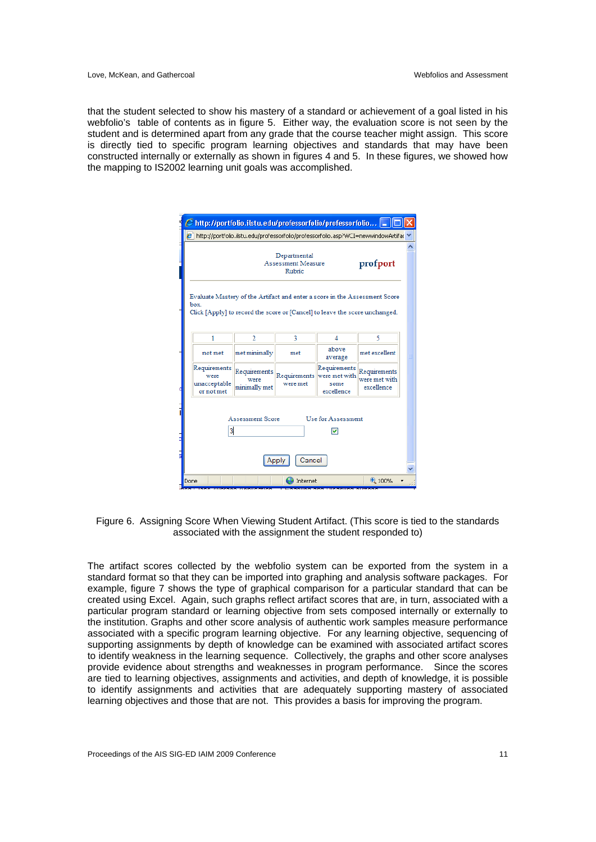that the student selected to show his mastery of a standard or achievement of a goal listed in his webfolio's table of contents as in figure 5. Either way, the evaluation score is not seen by the student and is determined apart from any grade that the course teacher might assign. This score is directly tied to specific program learning objectives and standards that may have been constructed internally or externally as shown in figures 4 and 5. In these figures, we showed how the mapping to IS2002 learning unit goals was accomplished.

|                                                    |                                       | http://portfolio.ilstu.edu/professorfolio/professorfolio.asp?WCI=newwindowArtifac                                                                         |                                                     |                                             |
|----------------------------------------------------|---------------------------------------|-----------------------------------------------------------------------------------------------------------------------------------------------------------|-----------------------------------------------------|---------------------------------------------|
|                                                    |                                       | Departmental<br>Assessment Measure<br>Rubric                                                                                                              |                                                     | profport                                    |
| box.                                               |                                       | Evaluate Mastery of the Artifact and enter a score in the Assessment Score<br>Click [Apply] to record the score or [Cancel] to leave the score unchanged. |                                                     |                                             |
| 1                                                  | 2                                     | 3                                                                                                                                                         | 4                                                   | 5                                           |
| not met                                            | met minimally                         | met                                                                                                                                                       | above<br>average                                    | met excellent                               |
| Requirements<br>were<br>unacceptable<br>or not met | Requirements<br>were<br>minimally met | Requirements<br>were met                                                                                                                                  | Requirements<br>were met with<br>some<br>excellence | Requirements<br>were met with<br>excellence |
|                                                    | <b>Assessment Score</b><br>3          |                                                                                                                                                           | <b>Use for Assessment</b><br>v                      |                                             |

Figure 6. Assigning Score When Viewing Student Artifact. (This score is tied to the standards associated with the assignment the student responded to)

The artifact scores collected by the webfolio system can be exported from the system in a standard format so that they can be imported into graphing and analysis software packages. For example, figure 7 shows the type of graphical comparison for a particular standard that can be created using Excel. Again, such graphs reflect artifact scores that are, in turn, associated with a particular program standard or learning objective from sets composed internally or externally to the institution. Graphs and other score analysis of authentic work samples measure performance associated with a specific program learning objective. For any learning objective, sequencing of supporting assignments by depth of knowledge can be examined with associated artifact scores to identify weakness in the learning sequence. Collectively, the graphs and other score analyses provide evidence about strengths and weaknesses in program performance. Since the scores are tied to learning objectives, assignments and activities, and depth of knowledge, it is possible to identify assignments and activities that are adequately supporting mastery of associated learning objectives and those that are not. This provides a basis for improving the program.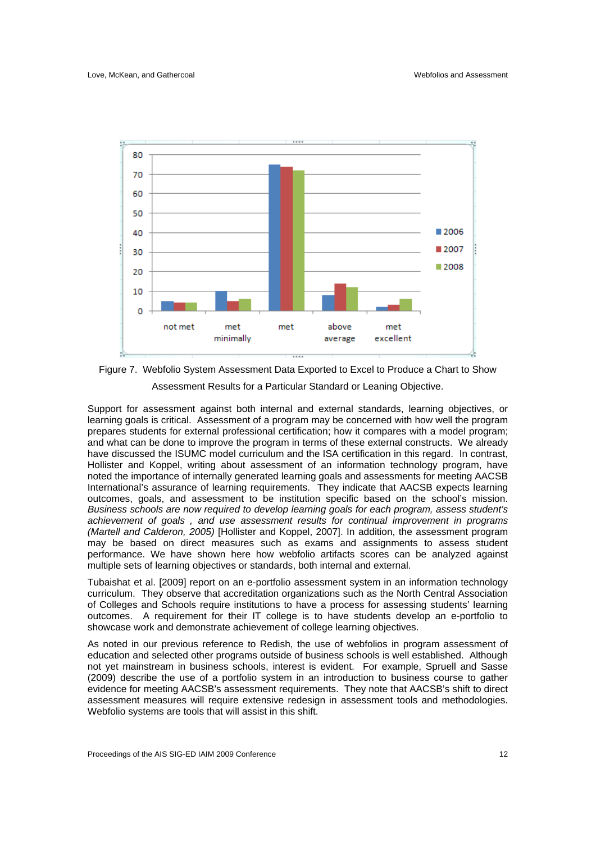

Figure 7. Webfolio System Assessment Data Exported to Excel to Produce a Chart to Show Assessment Results for a Particular Standard or Leaning Objective.

Support for assessment against both internal and external standards, learning objectives, or learning goals is critical. Assessment of a program may be concerned with how well the program prepares students for external professional certification; how it compares with a model program; and what can be done to improve the program in terms of these external constructs. We already have discussed the ISUMC model curriculum and the ISA certification in this regard. In contrast, Hollister and Koppel, writing about assessment of an information technology program, have noted the importance of internally generated learning goals and assessments for meeting AACSB International's assurance of learning requirements. They indicate that AACSB expects learning outcomes, goals, and assessment to be institution specific based on the school's mission. *Business schools are now required to develop learning goals for each program, assess student's achievement of goals , and use assessment results for continual improvement in programs (Martell and Calderon, 2005)* [Hollister and Koppel, 2007]. In addition, the assessment program may be based on direct measures such as exams and assignments to assess student performance. We have shown here how webfolio artifacts scores can be analyzed against multiple sets of learning objectives or standards, both internal and external.

Tubaishat et al. [2009] report on an e-portfolio assessment system in an information technology curriculum. They observe that accreditation organizations such as the North Central Association of Colleges and Schools require institutions to have a process for assessing students' learning outcomes. A requirement for their IT college is to have students develop an e-portfolio to showcase work and demonstrate achievement of college learning objectives.

As noted in our previous reference to Redish, the use of webfolios in program assessment of education and selected other programs outside of business schools is well established. Although not yet mainstream in business schools, interest is evident. For example, Spruell and Sasse (2009) describe the use of a portfolio system in an introduction to business course to gather evidence for meeting AACSB's assessment requirements. They note that AACSB's shift to direct assessment measures will require extensive redesign in assessment tools and methodologies. Webfolio systems are tools that will assist in this shift.